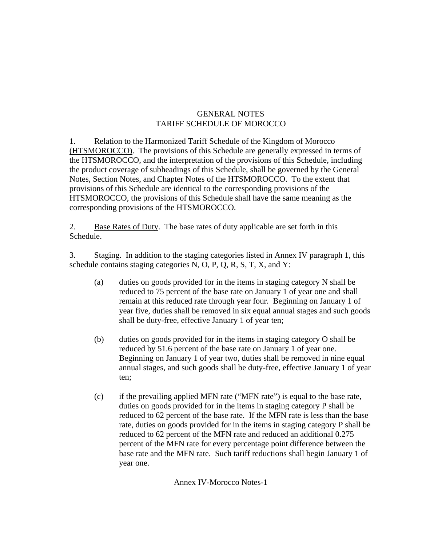## GENERAL NOTES TARIFF SCHEDULE OF MOROCCO

1. Relation to the Harmonized Tariff Schedule of the Kingdom of Morocco (HTSMOROCCO). The provisions of this Schedule are generally expressed in terms of the HTSMOROCCO, and the interpretation of the provisions of this Schedule, including the product coverage of subheadings of this Schedule, shall be governed by the General Notes, Section Notes, and Chapter Notes of the HTSMOROCCO. To the extent that provisions of this Schedule are identical to the corresponding provisions of the HTSMOROCCO, the provisions of this Schedule shall have the same meaning as the corresponding provisions of the HTSMOROCCO.

2. Base Rates of Duty. The base rates of duty applicable are set forth in this Schedule.

3. Staging. In addition to the staging categories listed in Annex IV paragraph 1, this schedule contains staging categories N, O, P, Q, R, S, T, X, and Y:

- (a) duties on goods provided for in the items in staging category N shall be reduced to 75 percent of the base rate on January 1 of year one and shall remain at this reduced rate through year four. Beginning on January 1 of year five, duties shall be removed in six equal annual stages and such goods shall be duty-free, effective January 1 of year ten;
- (b) duties on goods provided for in the items in staging category O shall be reduced by 51.6 percent of the base rate on January 1 of year one. Beginning on January 1 of year two, duties shall be removed in nine equal annual stages, and such goods shall be duty-free, effective January 1 of year ten;
- (c) if the prevailing applied MFN rate ("MFN rate") is equal to the base rate, duties on goods provided for in the items in staging category P shall be reduced to 62 percent of the base rate. If the MFN rate is less than the base rate, duties on goods provided for in the items in staging category P shall be reduced to 62 percent of the MFN rate and reduced an additional 0.275 percent of the MFN rate for every percentage point difference between the base rate and the MFN rate. Such tariff reductions shall begin January 1 of year one.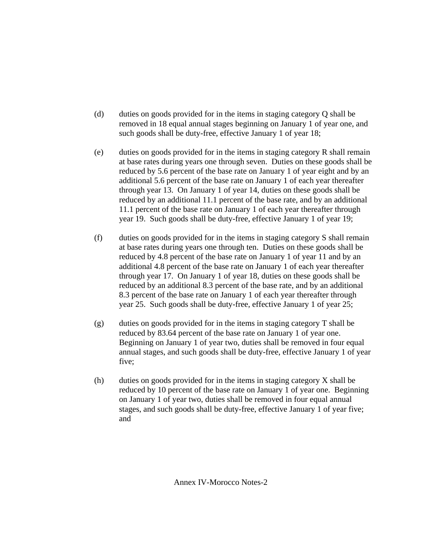- (d) duties on goods provided for in the items in staging category Q shall be removed in 18 equal annual stages beginning on January 1 of year one, and such goods shall be duty-free, effective January 1 of year 18;
- (e) duties on goods provided for in the items in staging category R shall remain at base rates during years one through seven. Duties on these goods shall be reduced by 5.6 percent of the base rate on January 1 of year eight and by an additional 5.6 percent of the base rate on January 1 of each year thereafter through year 13. On January 1 of year 14, duties on these goods shall be reduced by an additional 11.1 percent of the base rate, and by an additional 11.1 percent of the base rate on January 1 of each year thereafter through year 19. Such goods shall be duty-free, effective January 1 of year 19;
- (f) duties on goods provided for in the items in staging category S shall remain at base rates during years one through ten. Duties on these goods shall be reduced by 4.8 percent of the base rate on January 1 of year 11 and by an additional 4.8 percent of the base rate on January 1 of each year thereafter through year 17. On January 1 of year 18, duties on these goods shall be reduced by an additional 8.3 percent of the base rate, and by an additional 8.3 percent of the base rate on January 1 of each year thereafter through year 25. Such goods shall be duty-free, effective January 1 of year 25;
- (g) duties on goods provided for in the items in staging category T shall be reduced by 83.64 percent of the base rate on January 1 of year one. Beginning on January 1 of year two, duties shall be removed in four equal annual stages, and such goods shall be duty-free, effective January 1 of year five;
- $(h)$  duties on goods provided for in the items in staging category X shall be reduced by 10 percent of the base rate on January 1 of year one. Beginning on January 1 of year two, duties shall be removed in four equal annual stages, and such goods shall be duty-free, effective January 1 of year five; and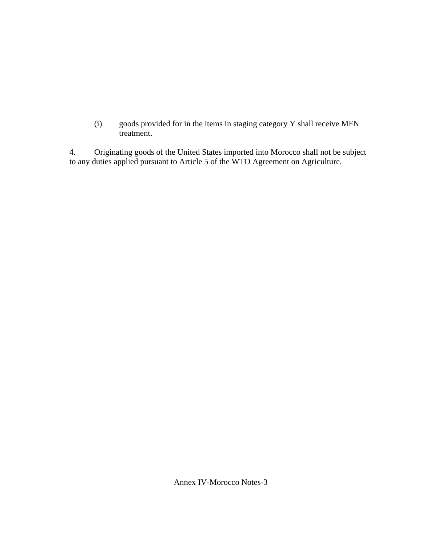(i) goods provided for in the items in staging category Y shall receive MFN treatment.

4. Originating goods of the United States imported into Morocco shall not be subject to any duties applied pursuant to Article 5 of the WTO Agreement on Agriculture.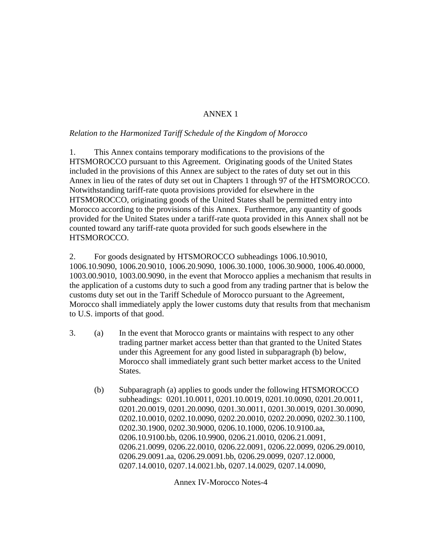# ANNEX 1

## *Relation to the Harmonized Tariff Schedule of the Kingdom of Morocco*

1. This Annex contains temporary modifications to the provisions of the HTSMOROCCO pursuant to this Agreement. Originating goods of the United States included in the provisions of this Annex are subject to the rates of duty set out in this Annex in lieu of the rates of duty set out in Chapters 1 through 97 of the HTSMOROCCO. Notwithstanding tariff-rate quota provisions provided for elsewhere in the HTSMOROCCO, originating goods of the United States shall be permitted entry into Morocco according to the provisions of this Annex. Furthermore, any quantity of goods provided for the United States under a tariff-rate quota provided in this Annex shall not be counted toward any tariff-rate quota provided for such goods elsewhere in the HTSMOROCCO.

2. For goods designated by HTSMOROCCO subheadings 1006.10.9010, 1006.10.9090, 1006.20.9010, 1006.20.9090, 1006.30.1000, 1006.30.9000, 1006.40.0000, 1003.00.9010, 1003.00.9090, in the event that Morocco applies a mechanism that results in the application of a customs duty to such a good from any trading partner that is below the customs duty set out in the Tariff Schedule of Morocco pursuant to the Agreement, Morocco shall immediately apply the lower customs duty that results from that mechanism to U.S. imports of that good.

- 3. (a) In the event that Morocco grants or maintains with respect to any other trading partner market access better than that granted to the United States under this Agreement for any good listed in subparagraph (b) below, Morocco shall immediately grant such better market access to the United States.
	- (b) Subparagraph (a) applies to goods under the following HTSMOROCCO subheadings: 0201.10.0011, 0201.10.0019, 0201.10.0090, 0201.20.0011, 0201.20.0019, 0201.20.0090, 0201.30.0011, 0201.30.0019, 0201.30.0090, 0202.10.0010, 0202.10.0090, 0202.20.0010, 0202.20.0090, 0202.30.1100, 0202.30.1900, 0202.30.9000, 0206.10.1000, 0206.10.9100.aa, 0206.10.9100.bb, 0206.10.9900, 0206.21.0010, 0206.21.0091, 0206.21.0099, 0206.22.0010, 0206.22.0091, 0206.22.0099, 0206.29.0010, 0206.29.0091.aa, 0206.29.0091.bb, 0206.29.0099, 0207.12.0000, 0207.14.0010, 0207.14.0021.bb, 0207.14.0029, 0207.14.0090,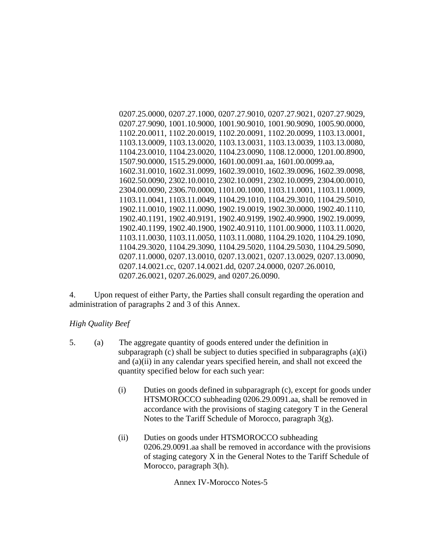0207.25.0000, 0207.27.1000, 0207.27.9010, 0207.27.9021, 0207.27.9029, 0207.27.9090, 1001.10.9000, 1001.90.9010, 1001.90.9090, 1005.90.0000, 1102.20.0011, 1102.20.0019, 1102.20.0091, 1102.20.0099, 1103.13.0001, 1103.13.0009, 1103.13.0020, 1103.13.0031, 1103.13.0039, 1103.13.0080, 1104.23.0010, 1104.23.0020, 1104.23.0090, 1108.12.0000, 1201.00.8900, 1507.90.0000, 1515.29.0000, 1601.00.0091.aa, 1601.00.0099.aa, 1602.31.0010, 1602.31.0099, 1602.39.0010, 1602.39.0096, 1602.39.0098, 1602.50.0090, 2302.10.0010, 2302.10.0091, 2302.10.0099, 2304.00.0010, 2304.00.0090, 2306.70.0000, 1101.00.1000, 1103.11.0001, 1103.11.0009, 1103.11.0041, 1103.11.0049, 1104.29.1010, 1104.29.3010, 1104.29.5010, 1902.11.0010, 1902.11.0090, 1902.19.0019, 1902.30.0000, 1902.40.1110, 1902.40.1191, 1902.40.9191, 1902.40.9199, 1902.40.9900, 1902.19.0099, 1902.40.1199, 1902.40.1900, 1902.40.9110, 1101.00.9000, 1103.11.0020, 1103.11.0030, 1103.11.0050, 1103.11.0080, 1104.29.1020, 1104.29.1090, 1104.29.3020, 1104.29.3090, 1104.29.5020, 1104.29.5030, 1104.29.5090, 0207.11.0000, 0207.13.0010, 0207.13.0021, 0207.13.0029, 0207.13.0090, 0207.14.0021.cc, 0207.14.0021.dd, 0207.24.0000, 0207.26.0010, 0207.26.0021, 0207.26.0029, and 0207.26.0090.

4. Upon request of either Party, the Parties shall consult regarding the operation and administration of paragraphs 2 and 3 of this Annex.

### *High Quality Beef*

- 5. (a) The aggregate quantity of goods entered under the definition in subparagraph (c) shall be subject to duties specified in subparagraphs (a)(i) and (a)(ii) in any calendar years specified herein, and shall not exceed the quantity specified below for each such year:
	- (i) Duties on goods defined in subparagraph (c), except for goods under HTSMOROCCO subheading 0206.29.0091.aa, shall be removed in accordance with the provisions of staging category T in the General Notes to the Tariff Schedule of Morocco, paragraph 3(g).
	- (ii) Duties on goods under HTSMOROCCO subheading 0206.29.0091.aa shall be removed in accordance with the provisions of staging category X in the General Notes to the Tariff Schedule of Morocco, paragraph 3(h).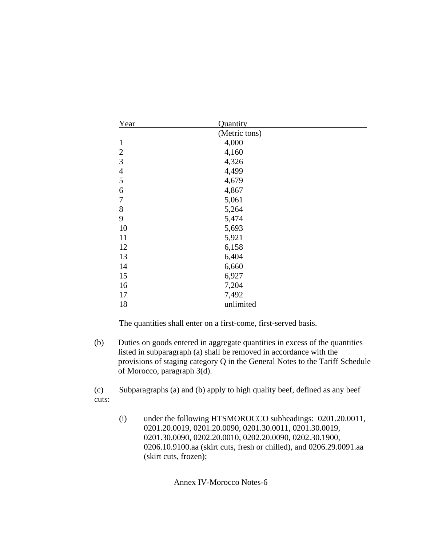| Year           | Quantity      |  |
|----------------|---------------|--|
|                | (Metric tons) |  |
| $\mathbf{1}$   | 4,000         |  |
| $\mathbf{2}$   | 4,160         |  |
| 3              | 4,326         |  |
| $\overline{4}$ | 4,499         |  |
| 5              | 4,679         |  |
| 6              | 4,867         |  |
| 7              | 5,061         |  |
| 8              | 5,264         |  |
| 9              | 5,474         |  |
| 10             | 5,693         |  |
| 11             | 5,921         |  |
| 12             | 6,158         |  |
| 13             | 6,404         |  |
| 14             | 6,660         |  |
| 15             | 6,927         |  |
| 16             | 7,204         |  |
| 17             | 7,492         |  |
| 18             | unlimited     |  |

(b) Duties on goods entered in aggregate quantities in excess of the quantities listed in subparagraph (a) shall be removed in accordance with the provisions of staging category Q in the General Notes to the Tariff Schedule of Morocco, paragraph 3(d).

(c) Subparagraphs (a) and (b) apply to high quality beef, defined as any beef cuts:

(i) under the following HTSMOROCCO subheadings: 0201.20.0011, 0201.20.0019, 0201.20.0090, 0201.30.0011, 0201.30.0019, 0201.30.0090, 0202.20.0010, 0202.20.0090, 0202.30.1900, 0206.10.9100.aa (skirt cuts, fresh or chilled), and 0206.29.0091.aa (skirt cuts, frozen);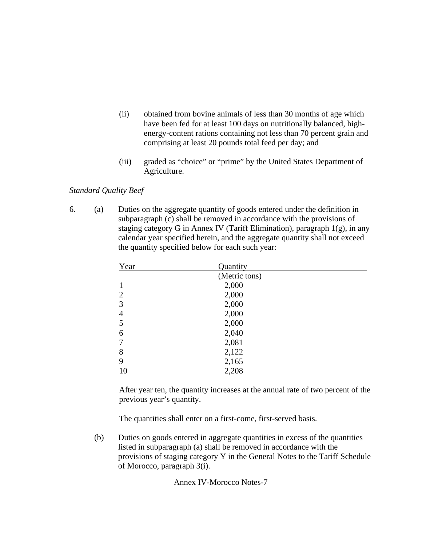- (ii) obtained from bovine animals of less than 30 months of age which have been fed for at least 100 days on nutritionally balanced, highenergy-content rations containing not less than 70 percent grain and comprising at least 20 pounds total feed per day; and
- (iii) graded as "choice" or "prime" by the United States Department of Agriculture.

### *Standard Quality Beef*

6. (a) Duties on the aggregate quantity of goods entered under the definition in subparagraph (c) shall be removed in accordance with the provisions of staging category G in Annex IV (Tariff Elimination), paragraph  $1(g)$ , in any calendar year specified herein, and the aggregate quantity shall not exceed the quantity specified below for each such year:

| Year           | Quantity      |  |
|----------------|---------------|--|
|                | (Metric tons) |  |
|                | 2,000         |  |
| $\overline{2}$ | 2,000         |  |
| 3              | 2,000         |  |
| 4              | 2,000         |  |
| 5              | 2,000         |  |
| 6              | 2,040         |  |
|                | 2,081         |  |
| 8              | 2,122         |  |
| 9              | 2,165         |  |
| 10             | 2,208         |  |
|                |               |  |

After year ten, the quantity increases at the annual rate of two percent of the previous year's quantity.

The quantities shall enter on a first-come, first-served basis.

(b) Duties on goods entered in aggregate quantities in excess of the quantities listed in subparagraph (a) shall be removed in accordance with the provisions of staging category Y in the General Notes to the Tariff Schedule of Morocco, paragraph 3(i).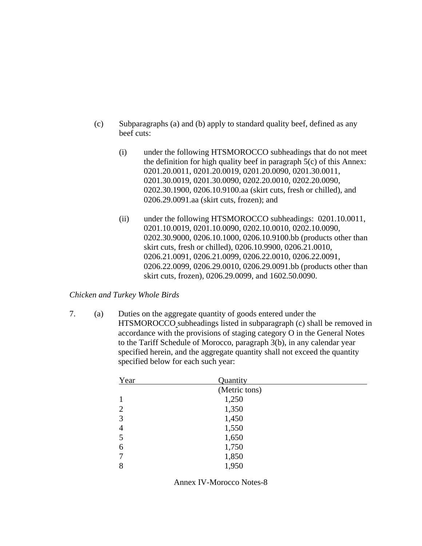- (c) Subparagraphs (a) and (b) apply to standard quality beef, defined as any beef cuts:
	- (i) under the following HTSMOROCCO subheadings that do not meet the definition for high quality beef in paragraph 5(c) of this Annex: 0201.20.0011, 0201.20.0019, 0201.20.0090, 0201.30.0011, 0201.30.0019, 0201.30.0090, 0202.20.0010, 0202.20.0090, 0202.30.1900, 0206.10.9100.aa (skirt cuts, fresh or chilled), and 0206.29.0091.aa (skirt cuts, frozen); and
	- (ii) under the following HTSMOROCCO subheadings: 0201.10.0011, 0201.10.0019, 0201.10.0090, 0202.10.0010, 0202.10.0090, 0202.30.9000, 0206.10.1000, 0206.10.9100.bb (products other than skirt cuts, fresh or chilled), 0206.10.9900, 0206.21.0010, 0206.21.0091, 0206.21.0099, 0206.22.0010, 0206.22.0091, 0206.22.0099, 0206.29.0010, 0206.29.0091.bb (products other than skirt cuts, frozen), 0206.29.0099, and 1602.50.0090.

#### *Chicken and Turkey Whole Birds*

7. (a) Duties on the aggregate quantity of goods entered under the HTSMOROCCO subheadings listed in subparagraph (c) shall be removed in accordance with the provisions of staging category O in the General Notes to the Tariff Schedule of Morocco, paragraph 3(b), in any calendar year specified herein, and the aggregate quantity shall not exceed the quantity specified below for each such year:

| Year           | Quantity      |  |
|----------------|---------------|--|
|                | (Metric tons) |  |
|                | 1,250         |  |
| 2              | 1,350         |  |
| 3              | 1,450         |  |
| $\overline{4}$ | 1,550         |  |
| 5              | 1,650         |  |
| 6              | 1,750         |  |
| 7              | 1,850         |  |
| 8              | 1,950         |  |

Annex IV-Morocco Notes-8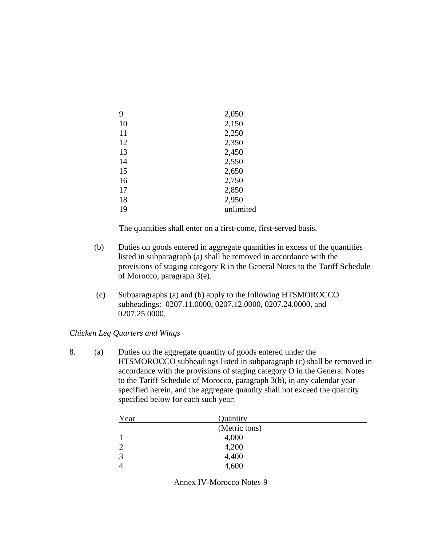| 9  | 2,050     |
|----|-----------|
| 10 | 2,150     |
| 11 | 2,250     |
| 12 | 2,350     |
| 13 | 2,450     |
| 14 | 2,550     |
| 15 | 2,650     |
| 16 | 2,750     |
| 17 | 2,850     |
| 18 | 2,950     |
| 19 | unlimited |

- (b) Duties on goods entered in aggregate quantities in excess of the quantities listed in subparagraph (a) shall be removed in accordance with the provisions of staging category R in the General Notes to the Tariff Schedule of Morocco, paragraph 3(e).
- (c) Subparagraphs (a) and (b) apply to the following HTSMOROCCO subheadings: 0207.11.0000, 0207.12.0000, 0207.24.0000, and 0207.25.0000.

*Chicken Leg Quarters and Wings* 

8. (a) Duties on the aggregate quantity of goods entered under the HTSMOROCCO subheadings listed in subparagraph (c) shall be removed in accordance with the provisions of staging category O in the General Notes to the Tariff Schedule of Morocco, paragraph 3(b), in any calendar year specified herein, and the aggregate quantity shall not exceed the quantity specified below for each such year:

| Year          | Quantity      |  |
|---------------|---------------|--|
|               | (Metric tons) |  |
|               | 4,000         |  |
| $\mathcal{D}$ | 4,200         |  |
| $\mathcal{R}$ | 4,400         |  |
|               | 4,600         |  |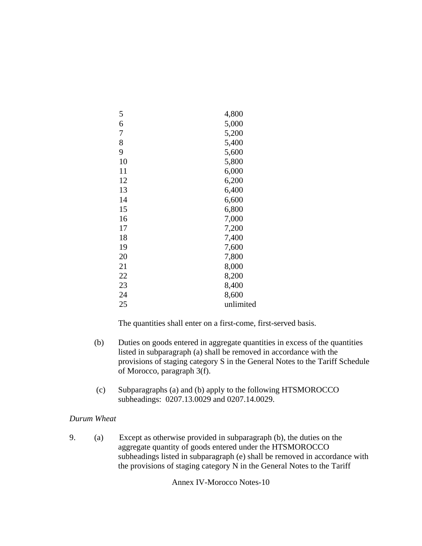| 5  | 4,800     |
|----|-----------|
| 6  | 5,000     |
| 7  | 5,200     |
| 8  | 5,400     |
| 9  | 5,600     |
| 10 | 5,800     |
| 11 | 6,000     |
| 12 | 6,200     |
| 13 | 6,400     |
| 14 | 6,600     |
| 15 | 6,800     |
| 16 | 7,000     |
| 17 | 7,200     |
| 18 | 7,400     |
| 19 | 7,600     |
| 20 | 7,800     |
| 21 | 8,000     |
| 22 | 8,200     |
| 23 | 8,400     |
| 24 | 8,600     |
| 25 | unlimited |

- (b) Duties on goods entered in aggregate quantities in excess of the quantities listed in subparagraph (a) shall be removed in accordance with the provisions of staging category S in the General Notes to the Tariff Schedule of Morocco, paragraph 3(f).
- (c) Subparagraphs (a) and (b) apply to the following HTSMOROCCO subheadings: 0207.13.0029 and 0207.14.0029.

# *Durum Wheat*

9. (a) Except as otherwise provided in subparagraph (b), the duties on the aggregate quantity of goods entered under the HTSMOROCCO subheadings listed in subparagraph (e) shall be removed in accordance with the provisions of staging category N in the General Notes to the Tariff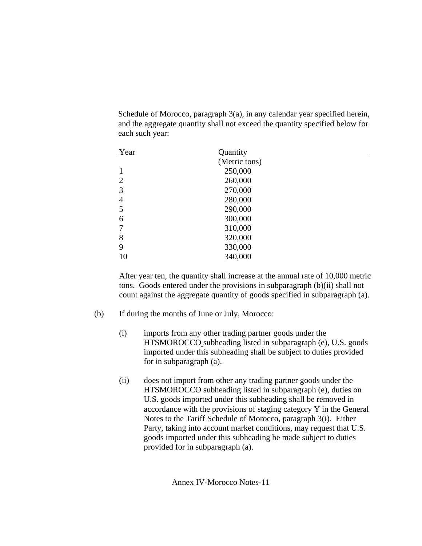Schedule of Morocco, paragraph 3(a), in any calendar year specified herein, and the aggregate quantity shall not exceed the quantity specified below for each such year:

| Year           | Quantity      |  |
|----------------|---------------|--|
|                | (Metric tons) |  |
|                | 250,000       |  |
| $\overline{2}$ | 260,000       |  |
| 3              | 270,000       |  |
| 4              | 280,000       |  |
| 5              | 290,000       |  |
| 6              | 300,000       |  |
| $\overline{7}$ | 310,000       |  |
| 8              | 320,000       |  |
| 9              | 330,000       |  |
| 10             | 340,000       |  |

After year ten, the quantity shall increase at the annual rate of 10,000 metric tons. Goods entered under the provisions in subparagraph (b)(ii) shall not count against the aggregate quantity of goods specified in subparagraph (a).

- (b) If during the months of June or July, Morocco:
	- (i) imports from any other trading partner goods under the HTSMOROCCO subheading listed in subparagraph (e), U.S. goods imported under this subheading shall be subject to duties provided for in subparagraph (a).
	- (ii) does not import from other any trading partner goods under the HTSMOROCCO subheading listed in subparagraph (e), duties on U.S. goods imported under this subheading shall be removed in accordance with the provisions of staging category Y in the General Notes to the Tariff Schedule of Morocco, paragraph 3(i). Either Party, taking into account market conditions, may request that U.S. goods imported under this subheading be made subject to duties provided for in subparagraph (a).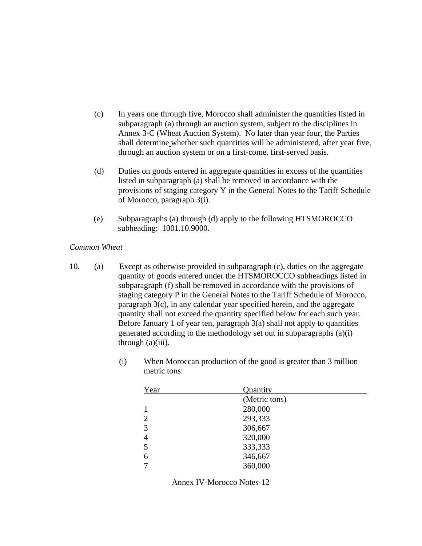- (c) In years one through five, Morocco shall administer the quantities listed in subparagraph (a) through an auction system, subject to the disciplines in Annex 3-C (Wheat Auction System). No later than year four, the Parties shall determine whether such quantities will be administered, after year five, through an auction system or on a first-come, first-served basis.
- (d) Duties on goods entered in aggregate quantities in excess of the quantities listed in subparagraph (a) shall be removed in accordance with the provisions of staging category Y in the General Notes to the Tariff Schedule of Morocco, paragraph 3(i).
- (e) Subparagraphs (a) through (d) apply to the following HTSMOROCCO subheading: 1001.10.9000.

#### *Common Wheat*

- 10. (a) Except as otherwise provided in subparagraph (c), duties on the aggregate quantity of goods entered under the HTSMOROCCO subheadings listed in subparagraph (f) shall be removed in accordance with the provisions of staging category P in the General Notes to the Tariff Schedule of Morocco, paragraph 3(c), in any calendar year specified herein, and the aggregate quantity shall not exceed the quantity specified below for each such year. Before January 1 of year ten, paragraph  $3(a)$  shall not apply to quantities generated according to the methodology set out in subparagraphs (a)(i) through  $(a)(iii)$ .
	- (i) When Moroccan production of the good is greater than 3 million metric tons:

| Year           | Quantity      |  |
|----------------|---------------|--|
|                | (Metric tons) |  |
|                | 280,000       |  |
| $\overline{2}$ | 293,333       |  |
| 3              | 306,667       |  |
| 4              | 320,000       |  |
| 5              | 333,333       |  |
| 6              | 346,667       |  |
|                | 360,000       |  |
|                |               |  |

Annex IV-Morocco Notes-12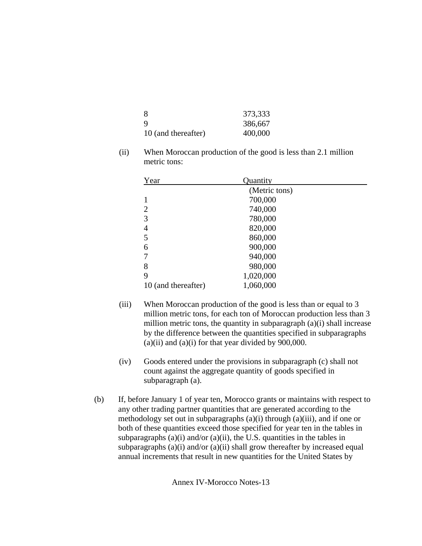| -8                  | 373,333 |
|---------------------|---------|
| -9                  | 386,667 |
| 10 (and thereafter) | 400,000 |

(ii) When Moroccan production of the good is less than 2.1 million metric tons:

| Year                | Quantity      |  |
|---------------------|---------------|--|
|                     | (Metric tons) |  |
|                     | 700,000       |  |
| 2                   | 740,000       |  |
| 3                   | 780,000       |  |
| 4                   | 820,000       |  |
| 5                   | 860,000       |  |
| 6                   | 900,000       |  |
| 7                   | 940,000       |  |
| 8                   | 980,000       |  |
| 9                   | 1,020,000     |  |
| 10 (and thereafter) | 1,060,000     |  |

- (iii) When Moroccan production of the good is less than or equal to 3 million metric tons, for each ton of Moroccan production less than 3 million metric tons, the quantity in subparagraph  $(a)(i)$  shall increase by the difference between the quantities specified in subparagraphs  $(a)(ii)$  and  $(a)(i)$  for that year divided by 900,000.
- (iv) Goods entered under the provisions in subparagraph (c) shall not count against the aggregate quantity of goods specified in subparagraph (a).
- (b) If, before January 1 of year ten, Morocco grants or maintains with respect to any other trading partner quantities that are generated according to the methodology set out in subparagraphs  $(a)(i)$  through  $(a)(iii)$ , and if one or both of these quantities exceed those specified for year ten in the tables in subparagraphs  $(a)(i)$  and/or  $(a)(ii)$ , the U.S. quantities in the tables in subparagraphs  $(a)(i)$  and/or  $(a)(ii)$  shall grow thereafter by increased equal annual increments that result in new quantities for the United States by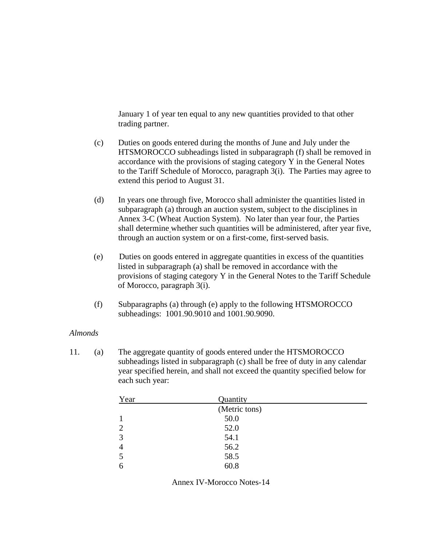January 1 of year ten equal to any new quantities provided to that other trading partner.

- (c) Duties on goods entered during the months of June and July under the HTSMOROCCO subheadings listed in subparagraph (f) shall be removed in accordance with the provisions of staging category Y in the General Notes to the Tariff Schedule of Morocco, paragraph 3(i). The Parties may agree to extend this period to August 31.
- (d) In years one through five, Morocco shall administer the quantities listed in subparagraph (a) through an auction system, subject to the disciplines in Annex 3-C (Wheat Auction System). No later than year four, the Parties shall determine whether such quantities will be administered, after year five, through an auction system or on a first-come, first-served basis.
- (e) Duties on goods entered in aggregate quantities in excess of the quantities listed in subparagraph (a) shall be removed in accordance with the provisions of staging category Y in the General Notes to the Tariff Schedule of Morocco, paragraph 3(i).
- (f) Subparagraphs (a) through (e) apply to the following HTSMOROCCO subheadings: 1001.90.9010 and 1001.90.9090.

#### *Almonds*

11. (a) The aggregate quantity of goods entered under the HTSMOROCCO subheadings listed in subparagraph (c) shall be free of duty in any calendar year specified herein, and shall not exceed the quantity specified below for each such year:

| Year           | Quantity      |
|----------------|---------------|
|                | (Metric tons) |
|                | 50.0          |
| $\overline{2}$ | 52.0          |
| 3              | 54.1          |
| $\overline{4}$ | 56.2          |
| 5              | 58.5          |
| 6              | 60.8          |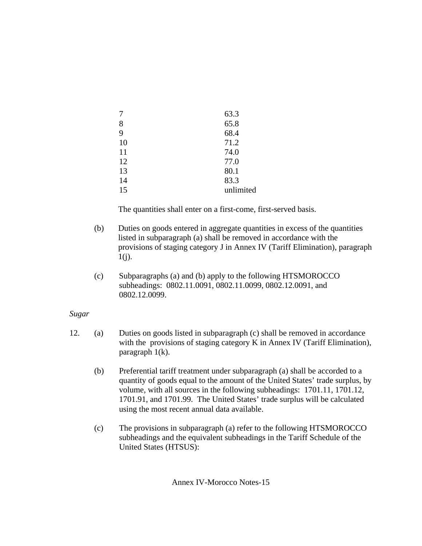|    | 63.3      |
|----|-----------|
| 8  | 65.8      |
| 9  | 68.4      |
| 10 | 71.2      |
| 11 | 74.0      |
| 12 | 77.0      |
| 13 | 80.1      |
| 14 | 83.3      |
| 15 | unlimited |

- (b) Duties on goods entered in aggregate quantities in excess of the quantities listed in subparagraph (a) shall be removed in accordance with the provisions of staging category J in Annex IV (Tariff Elimination), paragraph  $1(j)$ .
- (c) Subparagraphs (a) and (b) apply to the following HTSMOROCCO subheadings: 0802.11.0091, 0802.11.0099, 0802.12.0091, and 0802.12.0099.

# *Sugar*

- 12. (a) Duties on goods listed in subparagraph (c) shall be removed in accordance with the provisions of staging category K in Annex IV (Tariff Elimination), paragraph 1(k).
	- (b) Preferential tariff treatment under subparagraph (a) shall be accorded to a quantity of goods equal to the amount of the United States' trade surplus, by volume, with all sources in the following subheadings: 1701.11, 1701.12, 1701.91, and 1701.99. The United States' trade surplus will be calculated using the most recent annual data available.
	- (c) The provisions in subparagraph (a) refer to the following HTSMOROCCO subheadings and the equivalent subheadings in the Tariff Schedule of the United States (HTSUS):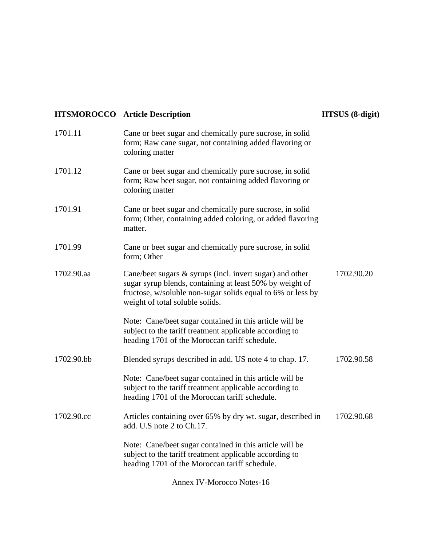# **HTSMOROCCO** Article Description **HTSUS** (8-digit)

| 1701.11    | Cane or beet sugar and chemically pure sucrose, in solid<br>form; Raw cane sugar, not containing added flavoring or<br>coloring matter                                                                                    |            |
|------------|---------------------------------------------------------------------------------------------------------------------------------------------------------------------------------------------------------------------------|------------|
| 1701.12    | Cane or beet sugar and chemically pure sucrose, in solid<br>form; Raw beet sugar, not containing added flavoring or<br>coloring matter                                                                                    |            |
| 1701.91    | Cane or beet sugar and chemically pure sucrose, in solid<br>form; Other, containing added coloring, or added flavoring<br>matter.                                                                                         |            |
| 1701.99    | Cane or beet sugar and chemically pure sucrose, in solid<br>form; Other                                                                                                                                                   |            |
| 1702.90.aa | Cane/beet sugars $\&$ syrups (incl. invert sugar) and other<br>sugar syrup blends, containing at least 50% by weight of<br>fructose, w/soluble non-sugar solids equal to 6% or less by<br>weight of total soluble solids. | 1702.90.20 |
|            | Note: Cane/beet sugar contained in this article will be<br>subject to the tariff treatment applicable according to<br>heading 1701 of the Moroccan tariff schedule.                                                       |            |
| 1702.90.bb | Blended syrups described in add. US note 4 to chap. 17.                                                                                                                                                                   | 1702.90.58 |
|            | Note: Cane/beet sugar contained in this article will be<br>subject to the tariff treatment applicable according to<br>heading 1701 of the Moroccan tariff schedule.                                                       |            |
| 1702.90.cc | Articles containing over 65% by dry wt. sugar, described in<br>add. U.S note 2 to Ch.17.                                                                                                                                  | 1702.90.68 |
|            | Note: Cane/beet sugar contained in this article will be<br>subject to the tariff treatment applicable according to<br>heading 1701 of the Moroccan tariff schedule.                                                       |            |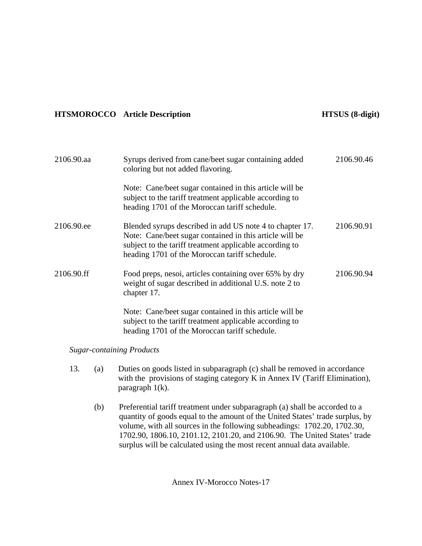# **HTSMOROCCO** Article Description **HTSUS (8-digit)**

| 2106.90.aa                       | Syrups derived from cane/beet sugar containing added<br>coloring but not added flavoring.                                                                                                                                       | 2106.90.46 |
|----------------------------------|---------------------------------------------------------------------------------------------------------------------------------------------------------------------------------------------------------------------------------|------------|
|                                  | Note: Cane/beet sugar contained in this article will be<br>subject to the tariff treatment applicable according to<br>heading 1701 of the Moroccan tariff schedule.                                                             |            |
| 2106.90.ee                       | Blended syrups described in add US note 4 to chapter 17.<br>Note: Cane/beet sugar contained in this article will be<br>subject to the tariff treatment applicable according to<br>heading 1701 of the Moroccan tariff schedule. | 2106.90.91 |
| 2106.90.ff                       | Food preps, nesoi, articles containing over 65% by dry<br>weight of sugar described in additional U.S. note 2 to<br>chapter 17.                                                                                                 | 2106.90.94 |
|                                  | Note: Cane/beet sugar contained in this article will be<br>subject to the tariff treatment applicable according to<br>heading 1701 of the Moroccan tariff schedule.                                                             |            |
| <b>Sugar-containing Products</b> |                                                                                                                                                                                                                                 |            |

- 13. (a) Duties on goods listed in subparagraph (c) shall be removed in accordance with the provisions of staging category K in Annex IV (Tariff Elimination), paragraph 1(k).
	- (b) Preferential tariff treatment under subparagraph (a) shall be accorded to a quantity of goods equal to the amount of the United States' trade surplus, by volume, with all sources in the following subheadings: 1702.20, 1702.30, 1702.90, 1806.10, 2101.12, 2101.20, and 2106.90. The United States' trade surplus will be calculated using the most recent annual data available.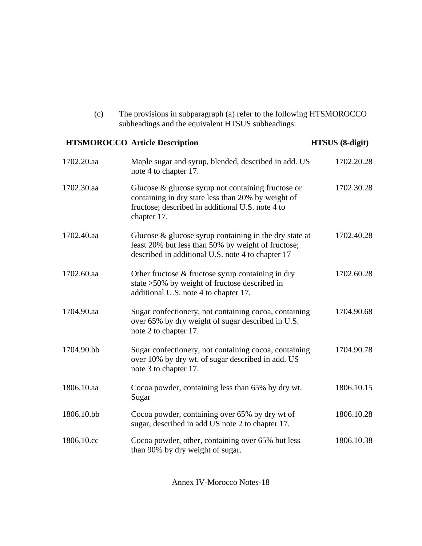(c) The provisions in subparagraph (a) refer to the following HTSMOROCCO subheadings and the equivalent HTSUS subheadings:

# **HTSMOROCCO** Article Description **HTSUS** (8-digit) 1702.20.aa Maple sugar and syrup, blended, described in add. US note 4 to chapter 17. 1702.20.28 1702.30.aa Glucose & glucose syrup not containing fructose or containing in dry state less than 20% by weight of fructose; described in additional U.S. note 4 to chapter 17. 1702.30.28 1702.40.aa Glucose & glucose syrup containing in the dry state at least 20% but less than 50% by weight of fructose; described in additional U.S. note 4 to chapter 17 1702.40.28 1702.60.aa Other fructose & fructose syrup containing in dry state >50% by weight of fructose described in additional U.S. note 4 to chapter 17. 1702.60.28 1704.90.aa Sugar confectionery, not containing cocoa, containing over 65% by dry weight of sugar described in U.S. note 2 to chapter 17. 1704.90.68 1704.90.bb Sugar confectionery, not containing cocoa, containing over 10% by dry wt. of sugar described in add. US note 3 to chapter 17. 1704.90.78 1806.10.aa Cocoa powder, containing less than 65% by dry wt. Sugar 1806.10.15 1806.10.bb Cocoa powder, containing over 65% by dry wt of sugar, described in add US note 2 to chapter 17. 1806.10.28 1806.10.cc Cocoa powder, other, containing over 65% but less than 90% by dry weight of sugar. 1806.10.38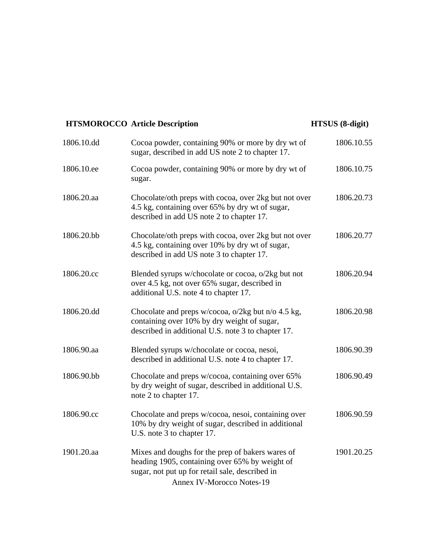# **HTSMOROCCO Article Description 1986 1997 1998 1998 1999 1998 1999 1998 1999 1998 1999 1999 1999 1999 1999 1999 1999 1999 1999 1999 1999 1999 1999 1999 1999 1999 1999 1999 1999 1999 1999 1999 1999 1999 1999 1999 1999 1999**

| 1806.10.dd | Cocoa powder, containing 90% or more by dry wt of<br>sugar, described in add US note 2 to chapter 17.                                                                                     | 1806.10.55 |
|------------|-------------------------------------------------------------------------------------------------------------------------------------------------------------------------------------------|------------|
| 1806.10.ee | Cocoa powder, containing 90% or more by dry wt of<br>sugar.                                                                                                                               | 1806.10.75 |
| 1806.20.aa | Chocolate/oth preps with cocoa, over 2kg but not over<br>4.5 kg, containing over 65% by dry wt of sugar,<br>described in add US note 2 to chapter 17.                                     | 1806.20.73 |
| 1806.20.bb | Chocolate/oth preps with cocoa, over 2kg but not over<br>4.5 kg, containing over 10% by dry wt of sugar,<br>described in add US note 3 to chapter 17.                                     | 1806.20.77 |
| 1806.20.cc | Blended syrups w/chocolate or cocoa, o/2kg but not<br>over 4.5 kg, not over 65% sugar, described in<br>additional U.S. note 4 to chapter 17.                                              | 1806.20.94 |
| 1806.20.dd | Chocolate and preps w/cocoa, o/2kg but n/o 4.5 kg,<br>containing over 10% by dry weight of sugar,<br>described in additional U.S. note 3 to chapter 17.                                   | 1806.20.98 |
| 1806.90.aa | Blended syrups w/chocolate or cocoa, nesoi,<br>described in additional U.S. note 4 to chapter 17.                                                                                         | 1806.90.39 |
| 1806.90.bb | Chocolate and preps w/cocoa, containing over 65%<br>by dry weight of sugar, described in additional U.S.<br>note 2 to chapter 17.                                                         | 1806.90.49 |
| 1806.90.cc | Chocolate and preps w/cocoa, nesoi, containing over<br>10% by dry weight of sugar, described in additional<br>U.S. note 3 to chapter 17.                                                  | 1806.90.59 |
| 1901.20.aa | Mixes and doughs for the prep of bakers wares of<br>heading 1905, containing over 65% by weight of<br>sugar, not put up for retail sale, described in<br><b>Annex IV-Morocco Notes-19</b> | 1901.20.25 |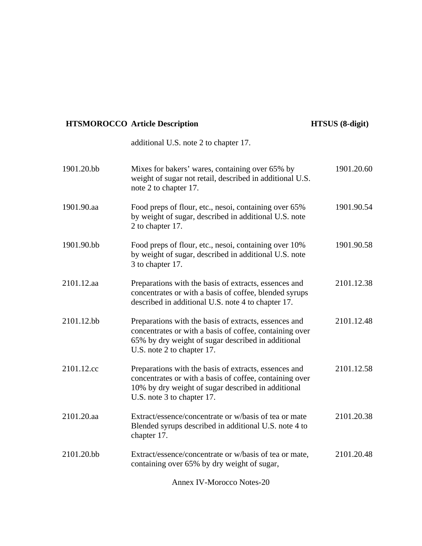# **HTSMOROCCO Article Description HTSUS (8-digit)**

|            | additional U.S. note 2 to chapter 17.                                                                                                                                                                |            |
|------------|------------------------------------------------------------------------------------------------------------------------------------------------------------------------------------------------------|------------|
| 1901.20.bb | Mixes for bakers' wares, containing over 65% by<br>weight of sugar not retail, described in additional U.S.<br>note 2 to chapter 17.                                                                 | 1901.20.60 |
| 1901.90.aa | Food preps of flour, etc., nesoi, containing over 65%<br>by weight of sugar, described in additional U.S. note<br>2 to chapter 17.                                                                   | 1901.90.54 |
| 1901.90.bb | Food preps of flour, etc., nesoi, containing over 10%<br>by weight of sugar, described in additional U.S. note<br>3 to chapter 17.                                                                   | 1901.90.58 |
| 2101.12.aa | Preparations with the basis of extracts, essences and<br>concentrates or with a basis of coffee, blended syrups<br>described in additional U.S. note 4 to chapter 17.                                | 2101.12.38 |
| 2101.12.bb | Preparations with the basis of extracts, essences and<br>concentrates or with a basis of coffee, containing over<br>65% by dry weight of sugar described in additional<br>U.S. note 2 to chapter 17. | 2101.12.48 |
| 2101.12.cc | Preparations with the basis of extracts, essences and<br>concentrates or with a basis of coffee, containing over<br>10% by dry weight of sugar described in additional<br>U.S. note 3 to chapter 17. | 2101.12.58 |
| 2101.20.aa | Extract/essence/concentrate or w/basis of tea or mate<br>Blended syrups described in additional U.S. note 4 to<br>chapter 17.                                                                        | 2101.20.38 |
| 2101.20.bb | Extract/essence/concentrate or w/basis of tea or mate,<br>containing over 65% by dry weight of sugar,                                                                                                | 2101.20.48 |
|            | <b>Annex IV-Morocco Notes-20</b>                                                                                                                                                                     |            |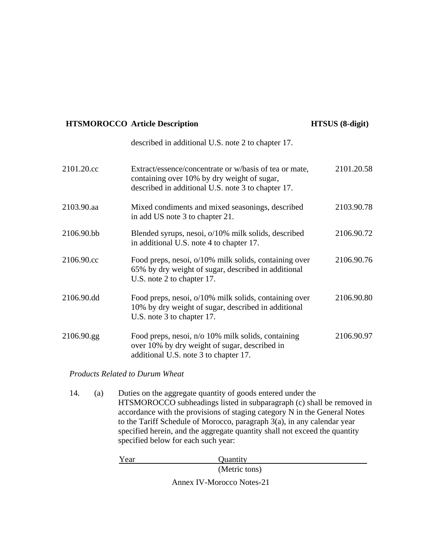# **HTSMOROCCO** Article Description **HTSUS** (8-digit)

|            | described in additional U.S. note 2 to chapter 17.                                                                                                          |            |
|------------|-------------------------------------------------------------------------------------------------------------------------------------------------------------|------------|
| 2101.20.cc | Extract/essence/concentrate or w/basis of tea or mate,<br>containing over 10% by dry weight of sugar,<br>described in additional U.S. note 3 to chapter 17. | 2101.20.58 |
| 2103.90.aa | Mixed condiments and mixed seasonings, described<br>in add US note 3 to chapter 21.                                                                         | 2103.90.78 |
| 2106.90.bb | Blended syrups, nesoi, o/10% milk solids, described<br>in additional U.S. note 4 to chapter 17.                                                             | 2106.90.72 |
| 2106.90.cc | Food preps, nesoi, o/10% milk solids, containing over<br>65% by dry weight of sugar, described in additional<br>U.S. note 2 to chapter 17.                  | 2106.90.76 |
| 2106.90.dd | Food preps, nesoi, o/10% milk solids, containing over<br>10% by dry weight of sugar, described in additional<br>U.S. note 3 to chapter 17.                  | 2106.90.80 |
| 2106.90.gg | Food preps, nesoi, n/o 10% milk solids, containing<br>over 10% by dry weight of sugar, described in<br>additional U.S. note 3 to chapter 17.                | 2106.90.97 |

### *Products Related to Durum Wheat*

14. (a) Duties on the aggregate quantity of goods entered under the HTSMOROCCO subheadings listed in subparagraph (c) shall be removed in accordance with the provisions of staging category N in the General Notes to the Tariff Schedule of Morocco, paragraph 3(a), in any calendar year specified herein, and the aggregate quantity shall not exceed the quantity specified below for each such year:

> Year Quantity (Metric tons)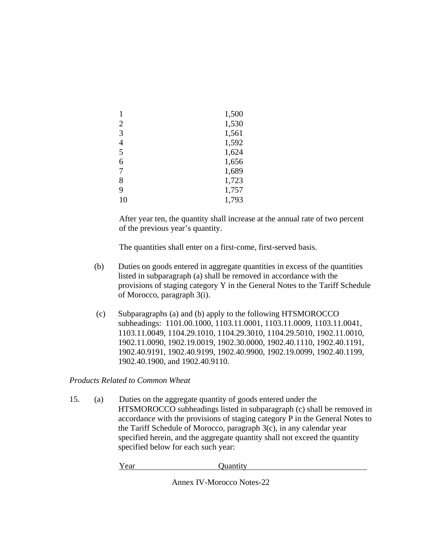|                | 1,500 |
|----------------|-------|
| $\overline{2}$ | 1,530 |
| 3              | 1,561 |
| 4              | 1,592 |
| 5              | 1,624 |
| 6              | 1,656 |
| 7              | 1,689 |
| 8              | 1,723 |
| 9              | 1,757 |
| 10             | 1,793 |

After year ten, the quantity shall increase at the annual rate of two percent of the previous year's quantity.

The quantities shall enter on a first-come, first-served basis.

- (b) Duties on goods entered in aggregate quantities in excess of the quantities listed in subparagraph (a) shall be removed in accordance with the provisions of staging category Y in the General Notes to the Tariff Schedule of Morocco, paragraph 3(i).
- (c) Subparagraphs (a) and (b) apply to the following HTSMOROCCO subheadings: 1101.00.1000, 1103.11.0001, 1103.11.0009, 1103.11.0041, 1103.11.0049, 1104.29.1010, 1104.29.3010, 1104.29.5010, 1902.11.0010, 1902.11.0090, 1902.19.0019, 1902.30.0000, 1902.40.1110, 1902.40.1191, 1902.40.9191, 1902.40.9199, 1902.40.9900, 1902.19.0099, 1902.40.1199, 1902.40.1900, and 1902.40.9110.

*Products Related to Common Wheat* 

15. (a) Duties on the aggregate quantity of goods entered under the HTSMOROCCO subheadings listed in subparagraph (c) shall be removed in accordance with the provisions of staging category P in the General Notes to the Tariff Schedule of Morocco, paragraph 3(c), in any calendar year specified herein, and the aggregate quantity shall not exceed the quantity specified below for each such year:

Year Quantity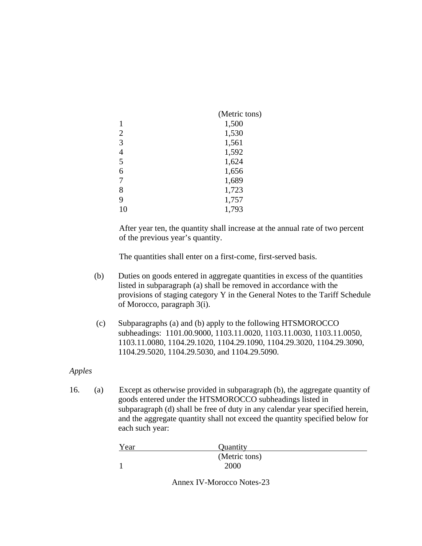|                | (Metric tons) |
|----------------|---------------|
|                | 1,500         |
| $\overline{2}$ | 1,530         |
| 3              | 1,561         |
| $\overline{4}$ | 1,592         |
| 5              | 1,624         |
| 6              | 1,656         |
| 7              | 1,689         |
| 8              | 1,723         |
| 9              | 1,757         |
| 10             | 1,793         |

After year ten, the quantity shall increase at the annual rate of two percent of the previous year's quantity.

The quantities shall enter on a first-come, first-served basis.

- (b) Duties on goods entered in aggregate quantities in excess of the quantities listed in subparagraph (a) shall be removed in accordance with the provisions of staging category Y in the General Notes to the Tariff Schedule of Morocco, paragraph 3(i).
- (c) Subparagraphs (a) and (b) apply to the following HTSMOROCCO subheadings: 1101.00.9000, 1103.11.0020, 1103.11.0030, 1103.11.0050, 1103.11.0080, 1104.29.1020, 1104.29.1090, 1104.29.3020, 1104.29.3090, 1104.29.5020, 1104.29.5030, and 1104.29.5090.

# *Apples*

16. (a) Except as otherwise provided in subparagraph (b), the aggregate quantity of goods entered under the HTSMOROCCO subheadings listed in subparagraph (d) shall be free of duty in any calendar year specified herein, and the aggregate quantity shall not exceed the quantity specified below for each such year:

| Year | Quantity      |  |
|------|---------------|--|
|      | (Metric tons) |  |
|      | 2000          |  |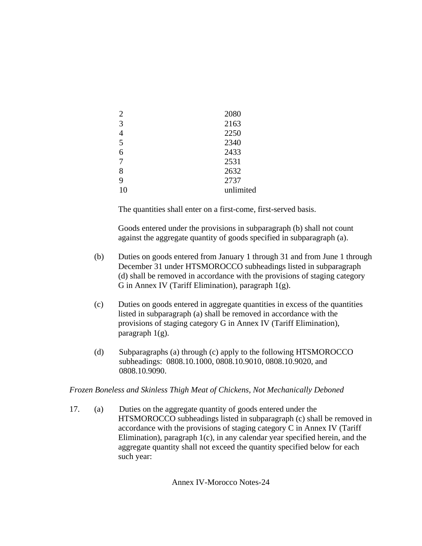| $\overline{2}$ | 2080      |
|----------------|-----------|
| 3              | 2163      |
|                | 2250      |
| 5              | 2340      |
| 6              | 2433      |
| 7              | 2531      |
| 8              | 2632      |
| 9              | 2737      |
| 10             | unlimited |

 Goods entered under the provisions in subparagraph (b) shall not count against the aggregate quantity of goods specified in subparagraph (a).

- (b) Duties on goods entered from January 1 through 31 and from June 1 through December 31 under HTSMOROCCO subheadings listed in subparagraph (d) shall be removed in accordance with the provisions of staging category G in Annex IV (Tariff Elimination), paragraph 1(g).
- (c) Duties on goods entered in aggregate quantities in excess of the quantities listed in subparagraph (a) shall be removed in accordance with the provisions of staging category G in Annex IV (Tariff Elimination), paragraph 1(g).
- (d) Subparagraphs (a) through (c) apply to the following HTSMOROCCO subheadings: 0808.10.1000, 0808.10.9010, 0808.10.9020, and 0808.10.9090.

### *Frozen Boneless and Skinless Thigh Meat of Chickens, Not Mechanically Deboned*

17. (a) Duties on the aggregate quantity of goods entered under the HTSMOROCCO subheadings listed in subparagraph (c) shall be removed in accordance with the provisions of staging category C in Annex IV (Tariff Elimination), paragraph 1(c), in any calendar year specified herein, and the aggregate quantity shall not exceed the quantity specified below for each such year: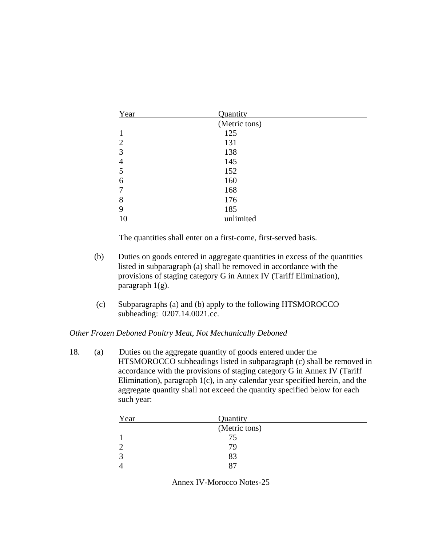| Year           | Quantity  |  |
|----------------|-----------|--|
| (Metric tons)  |           |  |
|                | 125       |  |
| $\overline{2}$ | 131       |  |
| 3              | 138       |  |
| 4              | 145       |  |
| 5              | 152       |  |
| 6              | 160       |  |
| 7              | 168       |  |
| 8              | 176       |  |
| 9              | 185       |  |
| 10             | unlimited |  |

- (b) Duties on goods entered in aggregate quantities in excess of the quantities listed in subparagraph (a) shall be removed in accordance with the provisions of staging category G in Annex IV (Tariff Elimination), paragraph 1(g).
- (c) Subparagraphs (a) and (b) apply to the following HTSMOROCCO subheading: 0207.14.0021.cc.

### *Other Frozen Deboned Poultry Meat, Not Mechanically Deboned*

18. (a) Duties on the aggregate quantity of goods entered under the HTSMOROCCO subheadings listed in subparagraph (c) shall be removed in accordance with the provisions of staging category G in Annex IV (Tariff Elimination), paragraph 1(c), in any calendar year specified herein, and the aggregate quantity shall not exceed the quantity specified below for each such year:

| Year          | Quantity |  |
|---------------|----------|--|
| (Metric tons) |          |  |
|               | 75       |  |
|               | 79       |  |
|               | 83       |  |
|               | 87       |  |